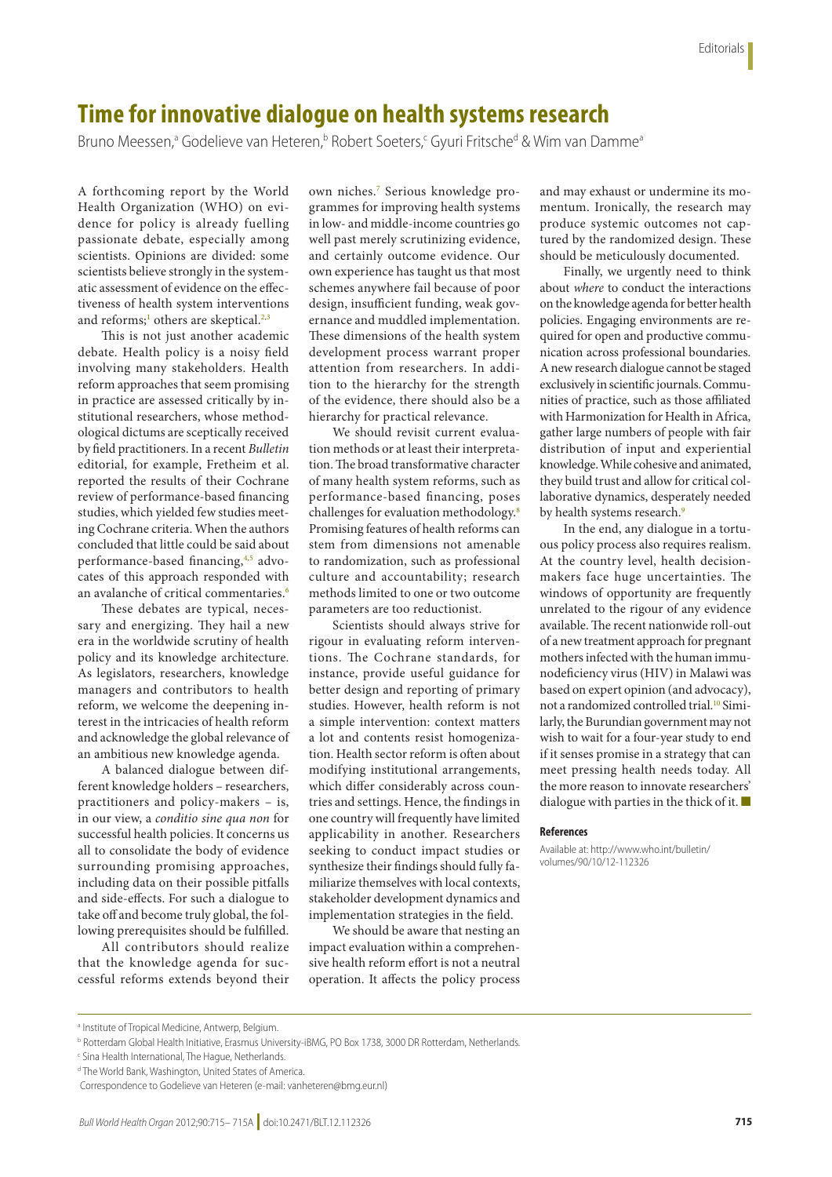## **Time for innovative dialogue on health systems research**

Bruno Meessen,<sup>a</sup> Godelieve van Heteren,<sup>b</sup> Robert Soeters,<sup>c</sup> Gyuri Fritsche<sup>d</sup> & Wim van Damme<sup>a</sup>

A forthcoming report by the World Health Organization (WHO) on evidence for policy is already fuelling passionate debate, especially among scientists. Opinions are divided: some scientists believe strongly in the systematic assessment of evidence on the effectiveness of health system interventions and reforms;<sup>[1](#page-1-0)</sup> others are skeptical.<sup>[2,](#page-1-1)[3](#page-1-2)</sup>

This is not just another academic debate. Health policy is a noisy field involving many stakeholders. Health reform approaches that seem promising in practice are assessed critically by institutional researchers, whose methodological dictums are sceptically received by field practitioners. In a recent *Bulletin* editorial, for example, Fretheim et al. reported the results of their Cochrane review of performance-based financing studies, which yielded few studies meeting Cochrane criteria. When the authors concluded that little could be said about performance-based financing,  $4,5$  $4,5$  advocates of this approach responded with an avalanche of critical commentaries[.6](#page-1-5)

These debates are typical, necessary and energizing. They hail a new era in the worldwide scrutiny of health policy and its knowledge architecture. As legislators, researchers, knowledge managers and contributors to health reform, we welcome the deepening interest in the intricacies of health reform and acknowledge the global relevance of an ambitious new knowledge agenda.

A balanced dialogue between different knowledge holders – researchers, practitioners and policy-makers – is, in our view, a *conditio sine qua non* for successful health policies. It concerns us all to consolidate the body of evidence surrounding promising approaches, including data on their possible pitfalls and side-effects. For such a dialogue to take off and become truly global, the following prerequisites should be fulfilled.

All contributors should realize that the knowledge agenda for successful reforms extends beyond their

own niches[.7](#page-1-6) Serious knowledge programmes for improving health systems in low- and middle-income countries go well past merely scrutinizing evidence, and certainly outcome evidence. Our own experience has taught us that most schemes anywhere fail because of poor design, insufficient funding, weak governance and muddled implementation. These dimensions of the health system development process warrant proper attention from researchers. In addition to the hierarchy for the strength of the evidence, there should also be a hierarchy for practical relevance.

We should revisit current evaluation methods or at least their interpretation. The broad transformative character of many health system reforms, such as performance-based financing, poses challenges for evaluation methodology.[8](#page-1-7) Promising features of health reforms can stem from dimensions not amenable to randomization, such as professional culture and accountability; research methods limited to one or two outcome parameters are too reductionist.

Scientists should always strive for rigour in evaluating reform interventions. The Cochrane standards, for instance, provide useful guidance for better design and reporting of primary studies. However, health reform is not a simple intervention: context matters a lot and contents resist homogenization. Health sector reform is often about modifying institutional arrangements, which differ considerably across countries and settings. Hence, the findings in one country will frequently have limited applicability in another. Researchers seeking to conduct impact studies or synthesize their findings should fully familiarize themselves with local contexts, stakeholder development dynamics and implementation strategies in the field.

We should be aware that nesting an impact evaluation within a comprehensive health reform effort is not a neutral operation. It affects the policy process and may exhaust or undermine its momentum. Ironically, the research may produce systemic outcomes not captured by the randomized design. These should be meticulously documented.

Finally, we urgently need to think about *where* to conduct the interactions on the knowledge agenda for better health policies. Engaging environments are required for open and productive communication across professional boundaries. A new research dialogue cannot be staged exclusively in scientific journals. Communities of practice, such as those affiliated with Harmonization for Health in Africa, gather large numbers of people with fair distribution of input and experiential knowledge. While cohesive and animated, they build trust and allow for critical collaborative dynamics, desperately needed by health systems research.<sup>[9](#page-1-8)</sup>

In the end, any dialogue in a tortuous policy process also requires realism. At the country level, health decisionmakers face huge uncertainties. The windows of opportunity are frequently unrelated to the rigour of any evidence available. The recent nationwide roll-out of a new treatment approach for pregnant mothers infected with the human immunodeficiency virus (HIV) in Malawi was based on expert opinion (and advocacy), not a randomized controlled trial.<sup>10</sup> Similarly, the Burundian government may not wish to wait for a four-year study to end if it senses promise in a strategy that can meet pressing health needs today. All the more reason to innovate researchers' dialogue with parties in the thick of it. ■

## **References**

Available at: http://www.who.int/bulletin/ volumes/90/10/12-112326

<sup>&</sup>lt;sup>a</sup> Institute of Tropical Medicine, Antwerp, Belgium.

b Rotterdam Global Health Initiative, Erasmus University-iBMG, PO Box 1738, 3000 DR Rotterdam, Netherlands.

<sup>&</sup>lt;sup>c</sup> Sina Health International, The Hague, Netherlands.

d The World Bank, Washington, United States of America.

Correspondence to Godelieve van Heteren (e-mail: vanheteren@bmg.eur.nl)